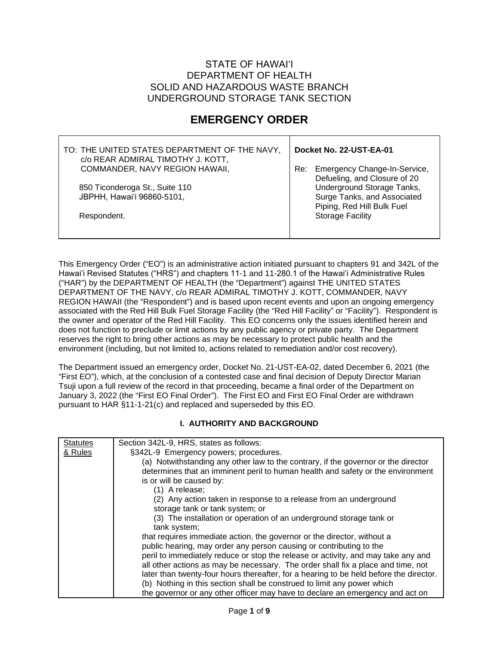## STATE OF HAWAIʻI DEPARTMENT OF HEALTH SOLID AND HAZARDOUS WASTE BRANCH UNDERGROUND STORAGE TANK SECTION

## **EMERGENCY ORDER**

| TO: THE UNITED STATES DEPARTMENT OF THE NAVY,<br>c/o REAR ADMIRAL TIMOTHY J. KOTT, | Docket No. 22-UST-EA-01 |                                                                                         |  |  |
|------------------------------------------------------------------------------------|-------------------------|-----------------------------------------------------------------------------------------|--|--|
| COMMANDER, NAVY REGION HAWAII,                                                     |                         | Re: Emergency Change-In-Service,<br>Defueling, and Closure of 20                        |  |  |
| 850 Ticonderoga St., Suite 110<br>JBPHH, Hawai'i 96860-5101,                       |                         | Underground Storage Tanks,<br>Surge Tanks, and Associated<br>Piping, Red Hill Bulk Fuel |  |  |
| Respondent.                                                                        |                         | <b>Storage Facility</b>                                                                 |  |  |

This Emergency Order ("EO") is an administrative action initiated pursuant to chapters 91 and 342L of the Hawaiʻi Revised Statutes ("HRS") and chapters 11-1 and 11-280.1 of the Hawaiʻi Administrative Rules ("HAR") by the DEPARTMENT OF HEALTH (the "Department") against THE UNITED STATES DEPARTMENT OF THE NAVY, c/o REAR ADMIRAL TIMOTHY J. KOTT, COMMANDER, NAVY REGION HAWAII (the "Respondent") and is based upon recent events and upon an ongoing emergency associated with the Red Hill Bulk Fuel Storage Facility (the "Red Hill Facility" or "Facility"). Respondent is the owner and operator of the Red Hill Facility. This EO concerns only the issues identified herein and does not function to preclude or limit actions by any public agency or private party. The Department reserves the right to bring other actions as may be necessary to protect public health and the environment (including, but not limited to, actions related to remediation and/or cost recovery).

The Department issued an emergency order, Docket No. 21-UST-EA-02, dated December 6, 2021 (the "First EO"), which, at the conclusion of a contested case and final decision of Deputy Director Marian Tsuji upon a full review of the record in that proceeding, became a final order of the Department on January 3, 2022 (the "First EO Final Order"). The First EO and First EO Final Order are withdrawn pursuant to HAR §11-1-21(c) and replaced and superseded by this EO.

## **I. AUTHORITY AND BACKGROUND**

| <b>Statutes</b> | Section 342L-9, HRS, states as follows:                                                |
|-----------------|----------------------------------------------------------------------------------------|
| & Rules         | §342L-9 Emergency powers; procedures.                                                  |
|                 | (a) Notwithstanding any other law to the contrary, if the governor or the director     |
|                 | determines that an imminent peril to human health and safety or the environment        |
|                 | is or will be caused by:                                                               |
|                 | (1) A release;                                                                         |
|                 | (2) Any action taken in response to a release from an underground                      |
|                 | storage tank or tank system; or                                                        |
|                 | (3) The installation or operation of an underground storage tank or                    |
|                 | tank system;                                                                           |
|                 | that requires immediate action, the governor or the director, without a                |
|                 | public hearing, may order any person causing or contributing to the                    |
|                 | peril to immediately reduce or stop the release or activity, and may take any and      |
|                 | all other actions as may be necessary. The order shall fix a place and time, not       |
|                 | later than twenty-four hours thereafter, for a hearing to be held before the director. |
|                 | (b) Nothing in this section shall be construed to limit any power which                |
|                 | the governor or any other officer may have to declare an emergency and act on          |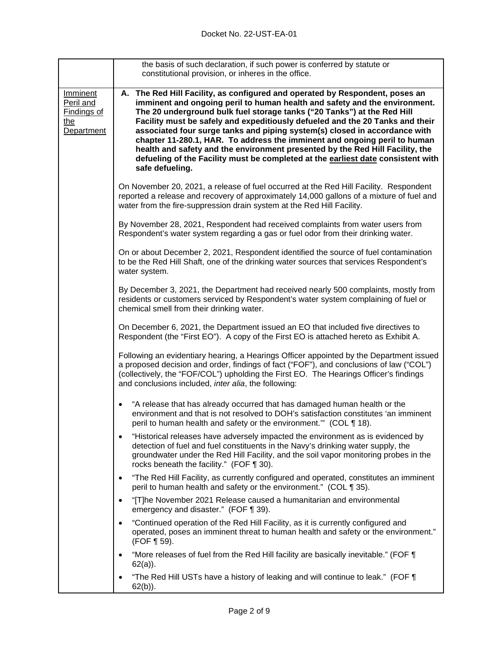|                                                                         | the basis of such declaration, if such power is conferred by statute or<br>constitutional provision, or inheres in the office.                                                                                                                                                                                                                                                                                                                                                                                                                                                                                                                                            |  |  |  |
|-------------------------------------------------------------------------|---------------------------------------------------------------------------------------------------------------------------------------------------------------------------------------------------------------------------------------------------------------------------------------------------------------------------------------------------------------------------------------------------------------------------------------------------------------------------------------------------------------------------------------------------------------------------------------------------------------------------------------------------------------------------|--|--|--|
| <b>Imminent</b><br>Peril and<br><u>Findings of</u><br>the<br>Department | A. The Red Hill Facility, as configured and operated by Respondent, poses an<br>imminent and ongoing peril to human health and safety and the environment.<br>The 20 underground bulk fuel storage tanks ("20 Tanks") at the Red Hill<br>Facility must be safely and expeditiously defueled and the 20 Tanks and their<br>associated four surge tanks and piping system(s) closed in accordance with<br>chapter 11-280.1, HAR. To address the imminent and ongoing peril to human<br>health and safety and the environment presented by the Red Hill Facility, the<br>defueling of the Facility must be completed at the earliest date consistent with<br>safe defueling. |  |  |  |
|                                                                         | On November 20, 2021, a release of fuel occurred at the Red Hill Facility. Respondent<br>reported a release and recovery of approximately 14,000 gallons of a mixture of fuel and<br>water from the fire-suppression drain system at the Red Hill Facility.                                                                                                                                                                                                                                                                                                                                                                                                               |  |  |  |
|                                                                         | By November 28, 2021, Respondent had received complaints from water users from<br>Respondent's water system regarding a gas or fuel odor from their drinking water.                                                                                                                                                                                                                                                                                                                                                                                                                                                                                                       |  |  |  |
|                                                                         | On or about December 2, 2021, Respondent identified the source of fuel contamination<br>to be the Red Hill Shaft, one of the drinking water sources that services Respondent's<br>water system.                                                                                                                                                                                                                                                                                                                                                                                                                                                                           |  |  |  |
|                                                                         | By December 3, 2021, the Department had received nearly 500 complaints, mostly from<br>residents or customers serviced by Respondent's water system complaining of fuel or<br>chemical smell from their drinking water.                                                                                                                                                                                                                                                                                                                                                                                                                                                   |  |  |  |
|                                                                         | On December 6, 2021, the Department issued an EO that included five directives to<br>Respondent (the "First EO"). A copy of the First EO is attached hereto as Exhibit A.                                                                                                                                                                                                                                                                                                                                                                                                                                                                                                 |  |  |  |
|                                                                         | Following an evidentiary hearing, a Hearings Officer appointed by the Department issued<br>a proposed decision and order, findings of fact ("FOF"), and conclusions of law ("COL")<br>(collectively, the "FOF/COL") upholding the First EO. The Hearings Officer's findings<br>and conclusions included, inter alia, the following:                                                                                                                                                                                                                                                                                                                                       |  |  |  |
|                                                                         | "A release that has already occurred that has damaged human health or the<br>$\bullet$<br>environment and that is not resolved to DOH's satisfaction constitutes 'an imminent<br>peril to human health and safety or the environment."" (COL 118).                                                                                                                                                                                                                                                                                                                                                                                                                        |  |  |  |
|                                                                         | "Historical releases have adversely impacted the environment as is evidenced by<br>$\bullet$<br>detection of fuel and fuel constituents in the Navy's drinking water supply, the<br>groundwater under the Red Hill Facility, and the soil vapor monitoring probes in the<br>rocks beneath the facility." (FOF $\P$ 30).                                                                                                                                                                                                                                                                                                                                                   |  |  |  |
|                                                                         | "The Red Hill Facility, as currently configured and operated, constitutes an imminent<br>$\bullet$<br>peril to human health and safety or the environment." (COL ¶ 35).                                                                                                                                                                                                                                                                                                                                                                                                                                                                                                   |  |  |  |
|                                                                         | "[T]he November 2021 Release caused a humanitarian and environmental<br>$\bullet$<br>emergency and disaster." (FOF ¶ 39).                                                                                                                                                                                                                                                                                                                                                                                                                                                                                                                                                 |  |  |  |
|                                                                         | "Continued operation of the Red Hill Facility, as it is currently configured and<br>operated, poses an imminent threat to human health and safety or the environment."<br>(FOF ¶ 59).                                                                                                                                                                                                                                                                                                                                                                                                                                                                                     |  |  |  |
|                                                                         | "More releases of fuel from the Red Hill facility are basically inevitable." (FOF ¶<br>$62(a)$ ).                                                                                                                                                                                                                                                                                                                                                                                                                                                                                                                                                                         |  |  |  |
|                                                                         | "The Red Hill USTs have a history of leaking and will continue to leak." (FOF \[<br>$62(b)$ ).                                                                                                                                                                                                                                                                                                                                                                                                                                                                                                                                                                            |  |  |  |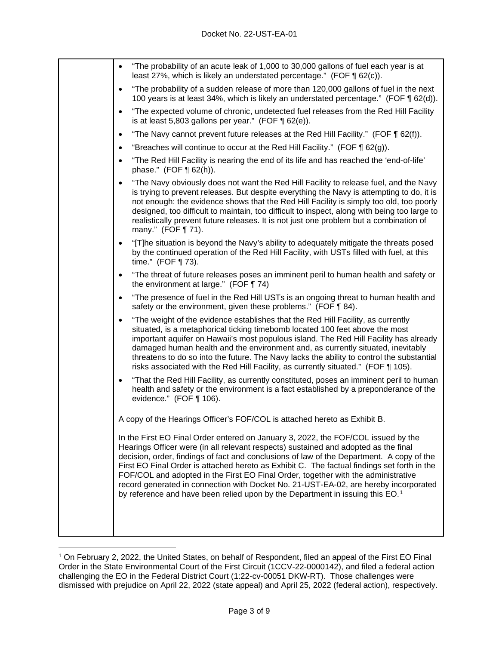| $\bullet$ | "The probability of an acute leak of 1,000 to 30,000 gallons of fuel each year is at<br>least 27%, which is likely an understated percentage." (FOF ¶ 62(c)).                                                                                                                                                                                                                                                                                                                                                                                                                                                                                  |
|-----------|------------------------------------------------------------------------------------------------------------------------------------------------------------------------------------------------------------------------------------------------------------------------------------------------------------------------------------------------------------------------------------------------------------------------------------------------------------------------------------------------------------------------------------------------------------------------------------------------------------------------------------------------|
| $\bullet$ | "The probability of a sudden release of more than 120,000 gallons of fuel in the next<br>100 years is at least 34%, which is likely an understated percentage." (FOF $\P$ 62(d)).                                                                                                                                                                                                                                                                                                                                                                                                                                                              |
| $\bullet$ | "The expected volume of chronic, undetected fuel releases from the Red Hill Facility<br>is at least 5,803 gallons per year." (FOF $\P$ 62(e)).                                                                                                                                                                                                                                                                                                                                                                                                                                                                                                 |
| $\bullet$ | "The Navy cannot prevent future releases at the Red Hill Facility." (FOF $\P$ 62(f)).                                                                                                                                                                                                                                                                                                                                                                                                                                                                                                                                                          |
| $\bullet$ | "Breaches will continue to occur at the Red Hill Facility." (FOF $\P$ 62(g)).                                                                                                                                                                                                                                                                                                                                                                                                                                                                                                                                                                  |
| $\bullet$ | "The Red Hill Facility is nearing the end of its life and has reached the 'end-of-life'<br>phase." $(FOF \P 62(h))$ .                                                                                                                                                                                                                                                                                                                                                                                                                                                                                                                          |
| $\bullet$ | "The Navy obviously does not want the Red Hill Facility to release fuel, and the Navy<br>is trying to prevent releases. But despite everything the Navy is attempting to do, it is<br>not enough: the evidence shows that the Red Hill Facility is simply too old, too poorly<br>designed, too difficult to maintain, too difficult to inspect, along with being too large to<br>realistically prevent future releases. It is not just one problem but a combination of<br>many." (FOF ¶ 71).                                                                                                                                                  |
| $\bullet$ | "[T]he situation is beyond the Navy's ability to adequately mitigate the threats posed<br>by the continued operation of the Red Hill Facility, with USTs filled with fuel, at this<br>time." $(FOF \P 73)$ .                                                                                                                                                                                                                                                                                                                                                                                                                                   |
| $\bullet$ | "The threat of future releases poses an imminent peril to human health and safety or<br>the environment at large." (FOF ¶ 74)                                                                                                                                                                                                                                                                                                                                                                                                                                                                                                                  |
| $\bullet$ | "The presence of fuel in the Red Hill USTs is an ongoing threat to human health and<br>safety or the environment, given these problems." (FOF ¶ 84).                                                                                                                                                                                                                                                                                                                                                                                                                                                                                           |
| $\bullet$ | "The weight of the evidence establishes that the Red Hill Facility, as currently<br>situated, is a metaphorical ticking timebomb located 100 feet above the most<br>important aquifer on Hawaii's most populous island. The Red Hill Facility has already<br>damaged human health and the environment and, as currently situated, inevitably<br>threatens to do so into the future. The Navy lacks the ability to control the substantial<br>risks associated with the Red Hill Facility, as currently situated." (FOF ¶ 105).                                                                                                                 |
| $\bullet$ | "That the Red Hill Facility, as currently constituted, poses an imminent peril to human<br>health and safety or the environment is a fact established by a preponderance of the<br>evidence." (FOF ¶ 106).                                                                                                                                                                                                                                                                                                                                                                                                                                     |
|           | A copy of the Hearings Officer's FOF/COL is attached hereto as Exhibit B.                                                                                                                                                                                                                                                                                                                                                                                                                                                                                                                                                                      |
|           | In the First EO Final Order entered on January 3, 2022, the FOF/COL issued by the<br>Hearings Officer were (in all relevant respects) sustained and adopted as the final<br>decision, order, findings of fact and conclusions of law of the Department. A copy of the<br>First EO Final Order is attached hereto as Exhibit C. The factual findings set forth in the<br>FOF/COL and adopted in the First EO Final Order, together with the administrative<br>record generated in connection with Docket No. 21-UST-EA-02, are hereby incorporated<br>by reference and have been relied upon by the Department in issuing this EO. <sup>1</sup> |

<span id="page-2-0"></span><sup>1</sup> On February 2, 2022, the United States, on behalf of Respondent, filed an appeal of the First EO Final Order in the State Environmental Court of the First Circuit (1CCV-22-0000142), and filed a federal action challenging the EO in the Federal District Court (1:22-cv-00051 DKW-RT). Those challenges were dismissed with prejudice on April 22, 2022 (state appeal) and April 25, 2022 (federal action), respectively.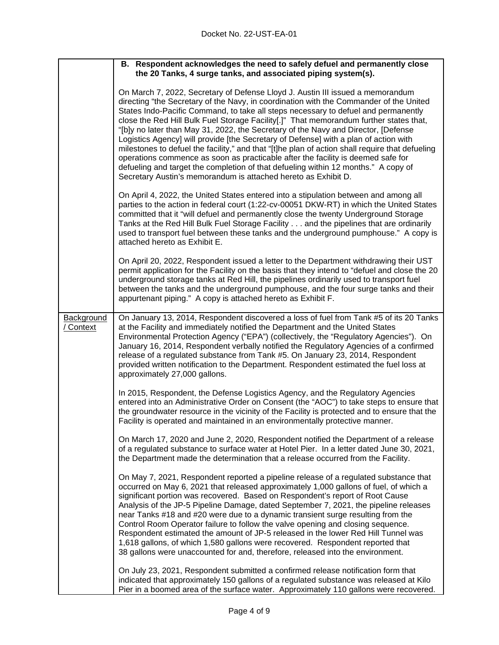|                              | B. Respondent acknowledges the need to safely defuel and permanently close<br>the 20 Tanks, 4 surge tanks, and associated piping system(s).                                                                                                                                                                                                                                                                                                                                                                                                                                                                                                                                                                                                                                                                                                                                           |
|------------------------------|---------------------------------------------------------------------------------------------------------------------------------------------------------------------------------------------------------------------------------------------------------------------------------------------------------------------------------------------------------------------------------------------------------------------------------------------------------------------------------------------------------------------------------------------------------------------------------------------------------------------------------------------------------------------------------------------------------------------------------------------------------------------------------------------------------------------------------------------------------------------------------------|
|                              | On March 7, 2022, Secretary of Defense Lloyd J. Austin III issued a memorandum<br>directing "the Secretary of the Navy, in coordination with the Commander of the United<br>States Indo-Pacific Command, to take all steps necessary to defuel and permanently<br>close the Red Hill Bulk Fuel Storage Facility[.]" That memorandum further states that,<br>"[b]y no later than May 31, 2022, the Secretary of the Navy and Director, [Defense<br>Logistics Agency] will provide [the Secretary of Defense] with a plan of action with<br>milestones to defuel the facility," and that "[t]he plan of action shall require that defueling<br>operations commence as soon as practicable after the facility is deemed safe for<br>defueling and target the completion of that defueling within 12 months." A copy of<br>Secretary Austin's memorandum is attached hereto as Exhibit D. |
|                              | On April 4, 2022, the United States entered into a stipulation between and among all<br>parties to the action in federal court (1:22-cv-00051 DKW-RT) in which the United States<br>committed that it "will defuel and permanently close the twenty Underground Storage<br>Tanks at the Red Hill Bulk Fuel Storage Facility and the pipelines that are ordinarily<br>used to transport fuel between these tanks and the underground pumphouse." A copy is<br>attached hereto as Exhibit E.                                                                                                                                                                                                                                                                                                                                                                                            |
|                              | On April 20, 2022, Respondent issued a letter to the Department withdrawing their UST<br>permit application for the Facility on the basis that they intend to "defuel and close the 20<br>underground storage tanks at Red Hill, the pipelines ordinarily used to transport fuel<br>between the tanks and the underground pumphouse, and the four surge tanks and their<br>appurtenant piping." A copy is attached hereto as Exhibit F.                                                                                                                                                                                                                                                                                                                                                                                                                                               |
| <b>Background</b><br>Context | On January 13, 2014, Respondent discovered a loss of fuel from Tank #5 of its 20 Tanks<br>at the Facility and immediately notified the Department and the United States<br>Environmental Protection Agency ("EPA") (collectively, the "Regulatory Agencies"). On<br>January 16, 2014, Respondent verbally notified the Regulatory Agencies of a confirmed<br>release of a regulated substance from Tank #5. On January 23, 2014, Respondent<br>provided written notification to the Department. Respondent estimated the fuel loss at<br>approximately 27,000 gallons.                                                                                                                                                                                                                                                                                                                |
|                              | In 2015, Respondent, the Defense Logistics Agency, and the Regulatory Agencies<br>entered into an Administrative Order on Consent (the "AOC") to take steps to ensure that<br>the groundwater resource in the vicinity of the Facility is protected and to ensure that the<br>Facility is operated and maintained in an environmentally protective manner.                                                                                                                                                                                                                                                                                                                                                                                                                                                                                                                            |
|                              | On March 17, 2020 and June 2, 2020, Respondent notified the Department of a release<br>of a regulated substance to surface water at Hotel Pier. In a letter dated June 30, 2021,<br>the Department made the determination that a release occurred from the Facility.                                                                                                                                                                                                                                                                                                                                                                                                                                                                                                                                                                                                                  |
|                              | On May 7, 2021, Respondent reported a pipeline release of a regulated substance that<br>occurred on May 6, 2021 that released approximately 1,000 gallons of fuel, of which a<br>significant portion was recovered. Based on Respondent's report of Root Cause<br>Analysis of the JP-5 Pipeline Damage, dated September 7, 2021, the pipeline releases<br>near Tanks #18 and #20 were due to a dynamic transient surge resulting from the<br>Control Room Operator failure to follow the valve opening and closing sequence.<br>Respondent estimated the amount of JP-5 released in the lower Red Hill Tunnel was<br>1,618 gallons, of which 1,580 gallons were recovered. Respondent reported that<br>38 gallons were unaccounted for and, therefore, released into the environment.                                                                                                 |
|                              | On July 23, 2021, Respondent submitted a confirmed release notification form that<br>indicated that approximately 150 gallons of a regulated substance was released at Kilo<br>Pier in a boomed area of the surface water. Approximately 110 gallons were recovered.                                                                                                                                                                                                                                                                                                                                                                                                                                                                                                                                                                                                                  |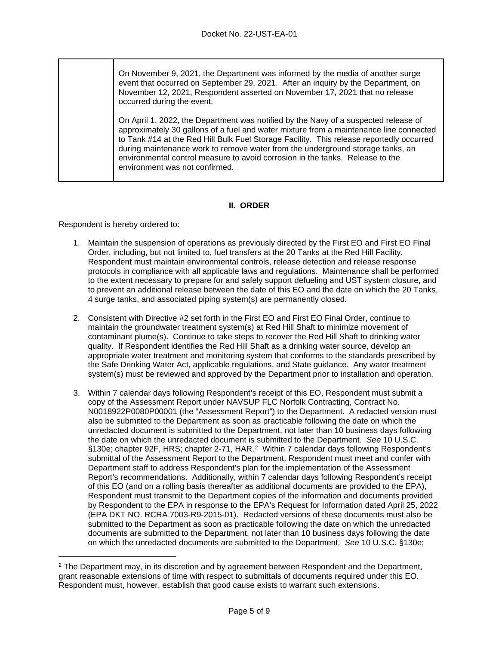On November 9, 2021, the Department was informed by the media of another surge event that occurred on September 29, 2021. After an inquiry by the Department, on November 12, 2021, Respondent asserted on November 17, 2021 that no release occurred during the event.

On April 1, 2022, the Department was notified by the Navy of a suspected release of approximately 30 gallons of a fuel and water mixture from a maintenance line connected to Tank #14 at the Red Hill Bulk Fuel Storage Facility. This release reportedly occurred during maintenance work to remove water from the underground storage tanks, an environmental control measure to avoid corrosion in the tanks. Release to the environment was not confirmed.

## **II. ORDER**

Respondent is hereby ordered to:

- 1. Maintain the suspension of operations as previously directed by the First EO and First EO Final Order, including, but not limited to, fuel transfers at the 20 Tanks at the Red Hill Facility. Respondent must maintain environmental controls, release detection and release response protocols in compliance with all applicable laws and regulations. Maintenance shall be performed to the extent necessary to prepare for and safely support defueling and UST system closure, and to prevent an additional release between the date of this EO and the date on which the 20 Tanks, 4 surge tanks, and associated piping system(s) are permanently closed.
- 2. Consistent with Directive #2 set forth in the First EO and First EO Final Order, continue to maintain the groundwater treatment system(s) at Red Hill Shaft to minimize movement of contaminant plume(s). Continue to take steps to recover the Red Hill Shaft to drinking water quality. If Respondent identifies the Red Hill Shaft as a drinking water source, develop an appropriate water treatment and monitoring system that conforms to the standards prescribed by the Safe Drinking Water Act, applicable regulations, and State guidance. Any water treatment system(s) must be reviewed and approved by the Department prior to installation and operation.
- 3. Within 7 calendar days following Respondent's receipt of this EO, Respondent must submit a copy of the Assessment Report under NAVSUP FLC Norfolk Contracting, Contract No. N0018922P0080P00001 (the "Assessment Report") to the Department. A redacted version must also be submitted to the Department as soon as practicable following the date on which the unredacted document is submitted to the Department, not later than 10 business days following the date on which the unredacted document is submitted to the Department. *See* 10 U.S.C. §130e; chapter 92F, HRS; chapter 2-71, HAR.[2](#page-4-0) Within 7 calendar days following Respondent's submittal of the Assessment Report to the Department, Respondent must meet and confer with Department staff to address Respondent's plan for the implementation of the Assessment Report's recommendations. Additionally, within 7 calendar days following Respondent's receipt of this EO (and on a rolling basis thereafter as additional documents are provided to the EPA), Respondent must transmit to the Department copies of the information and documents provided by Respondent to the EPA in response to the EPA's Request for Information dated April 25, 2022 (EPA DKT NO. RCRA 7003-R9-2015-01). Redacted versions of these documents must also be submitted to the Department as soon as practicable following the date on which the unredacted documents are submitted to the Department, not later than 10 business days following the date on which the unredacted documents are submitted to the Department. *See* 10 U.S.C. §130e;

<span id="page-4-0"></span> $2$  The Department may, in its discretion and by agreement between Respondent and the Department, grant reasonable extensions of time with respect to submittals of documents required under this EO. Respondent must, however, establish that good cause exists to warrant such extensions.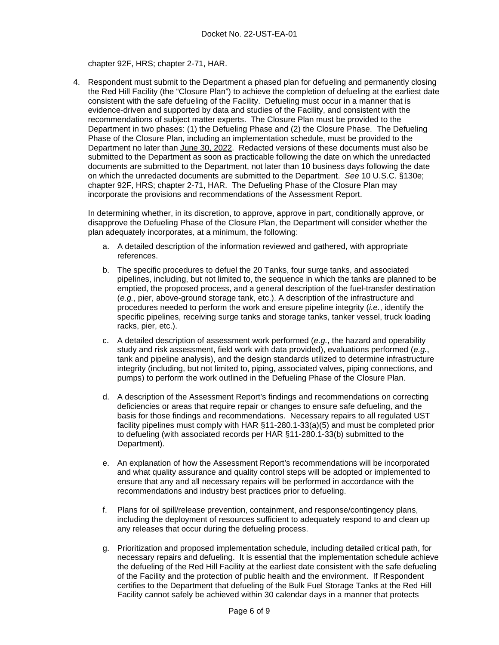chapter 92F, HRS; chapter 2-71, HAR.

4. Respondent must submit to the Department a phased plan for defueling and permanently closing the Red Hill Facility (the "Closure Plan") to achieve the completion of defueling at the earliest date consistent with the safe defueling of the Facility. Defueling must occur in a manner that is evidence-driven and supported by data and studies of the Facility, and consistent with the recommendations of subject matter experts. The Closure Plan must be provided to the Department in two phases: (1) the Defueling Phase and (2) the Closure Phase. The Defueling Phase of the Closure Plan, including an implementation schedule, must be provided to the Department no later than June 30, 2022. Redacted versions of these documents must also be submitted to the Department as soon as practicable following the date on which the unredacted documents are submitted to the Department, not later than 10 business days following the date on which the unredacted documents are submitted to the Department. *See* 10 U.S.C. §130e; chapter 92F, HRS; chapter 2-71, HAR. The Defueling Phase of the Closure Plan may incorporate the provisions and recommendations of the Assessment Report.

In determining whether, in its discretion, to approve, approve in part, conditionally approve, or disapprove the Defueling Phase of the Closure Plan, the Department will consider whether the plan adequately incorporates, at a minimum, the following:

- a. A detailed description of the information reviewed and gathered, with appropriate references.
- b. The specific procedures to defuel the 20 Tanks, four surge tanks, and associated pipelines, including, but not limited to, the sequence in which the tanks are planned to be emptied, the proposed process, and a general description of the fuel-transfer destination (*e.g.*, pier, above-ground storage tank, etc.). A description of the infrastructure and procedures needed to perform the work and ensure pipeline integrity (*i.e.*, identify the specific pipelines, receiving surge tanks and storage tanks, tanker vessel, truck loading racks, pier, etc.).
- c. A detailed description of assessment work performed (*e.g.*, the hazard and operability study and risk assessment, field work with data provided), evaluations performed (*e.g.*, tank and pipeline analysis), and the design standards utilized to determine infrastructure integrity (including, but not limited to, piping, associated valves, piping connections, and pumps) to perform the work outlined in the Defueling Phase of the Closure Plan.
- d. A description of the Assessment Report's findings and recommendations on correcting deficiencies or areas that require repair or changes to ensure safe defueling, and the basis for those findings and recommendations. Necessary repairs to all regulated UST facility pipelines must comply with HAR §11-280.1-33(a)(5) and must be completed prior to defueling (with associated records per HAR §11-280.1-33(b) submitted to the Department).
- e. An explanation of how the Assessment Report's recommendations will be incorporated and what quality assurance and quality control steps will be adopted or implemented to ensure that any and all necessary repairs will be performed in accordance with the recommendations and industry best practices prior to defueling.
- f. Plans for oil spill/release prevention, containment, and response/contingency plans, including the deployment of resources sufficient to adequately respond to and clean up any releases that occur during the defueling process.
- g. Prioritization and proposed implementation schedule, including detailed critical path, for necessary repairs and defueling. It is essential that the implementation schedule achieve the defueling of the Red Hill Facility at the earliest date consistent with the safe defueling of the Facility and the protection of public health and the environment. If Respondent certifies to the Department that defueling of the Bulk Fuel Storage Tanks at the Red Hill Facility cannot safely be achieved within 30 calendar days in a manner that protects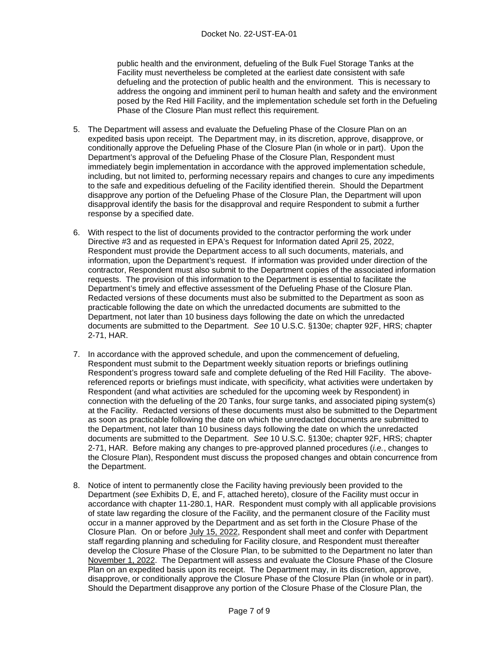public health and the environment, defueling of the Bulk Fuel Storage Tanks at the Facility must nevertheless be completed at the earliest date consistent with safe defueling and the protection of public health and the environment. This is necessary to address the ongoing and imminent peril to human health and safety and the environment posed by the Red Hill Facility, and the implementation schedule set forth in the Defueling Phase of the Closure Plan must reflect this requirement.

- 5. The Department will assess and evaluate the Defueling Phase of the Closure Plan on an expedited basis upon receipt. The Department may, in its discretion, approve, disapprove, or conditionally approve the Defueling Phase of the Closure Plan (in whole or in part). Upon the Department's approval of the Defueling Phase of the Closure Plan, Respondent must immediately begin implementation in accordance with the approved implementation schedule, including, but not limited to, performing necessary repairs and changes to cure any impediments to the safe and expeditious defueling of the Facility identified therein. Should the Department disapprove any portion of the Defueling Phase of the Closure Plan, the Department will upon disapproval identify the basis for the disapproval and require Respondent to submit a further response by a specified date.
- 6. With respect to the list of documents provided to the contractor performing the work under Directive #3 and as requested in EPA's Request for Information dated April 25, 2022, Respondent must provide the Department access to all such documents, materials, and information, upon the Department's request. If information was provided under direction of the contractor, Respondent must also submit to the Department copies of the associated information requests. The provision of this information to the Department is essential to facilitate the Department's timely and effective assessment of the Defueling Phase of the Closure Plan. Redacted versions of these documents must also be submitted to the Department as soon as practicable following the date on which the unredacted documents are submitted to the Department, not later than 10 business days following the date on which the unredacted documents are submitted to the Department. *See* 10 U.S.C. §130e; chapter 92F, HRS; chapter 2-71, HAR.
- 7. In accordance with the approved schedule, and upon the commencement of defueling, Respondent must submit to the Department weekly situation reports or briefings outlining Respondent's progress toward safe and complete defueling of the Red Hill Facility. The abovereferenced reports or briefings must indicate, with specificity, what activities were undertaken by Respondent (and what activities are scheduled for the upcoming week by Respondent) in connection with the defueling of the 20 Tanks, four surge tanks, and associated piping system(s) at the Facility. Redacted versions of these documents must also be submitted to the Department as soon as practicable following the date on which the unredacted documents are submitted to the Department, not later than 10 business days following the date on which the unredacted documents are submitted to the Department. *See* 10 U.S.C. §130e; chapter 92F, HRS; chapter 2-71, HAR. Before making any changes to pre-approved planned procedures (*i.e.*, changes to the Closure Plan), Respondent must discuss the proposed changes and obtain concurrence from the Department.
- 8. Notice of intent to permanently close the Facility having previously been provided to the Department (*see* Exhibits D, E, and F, attached hereto), closure of the Facility must occur in accordance with chapter 11-280.1, HAR. Respondent must comply with all applicable provisions of state law regarding the closure of the Facility, and the permanent closure of the Facility must occur in a manner approved by the Department and as set forth in the Closure Phase of the Closure Plan. On or before July 15, 2022, Respondent shall meet and confer with Department staff regarding planning and scheduling for Facility closure, and Respondent must thereafter develop the Closure Phase of the Closure Plan, to be submitted to the Department no later than November 1, 2022. The Department will assess and evaluate the Closure Phase of the Closure Plan on an expedited basis upon its receipt. The Department may, in its discretion, approve, disapprove, or conditionally approve the Closure Phase of the Closure Plan (in whole or in part). Should the Department disapprove any portion of the Closure Phase of the Closure Plan, the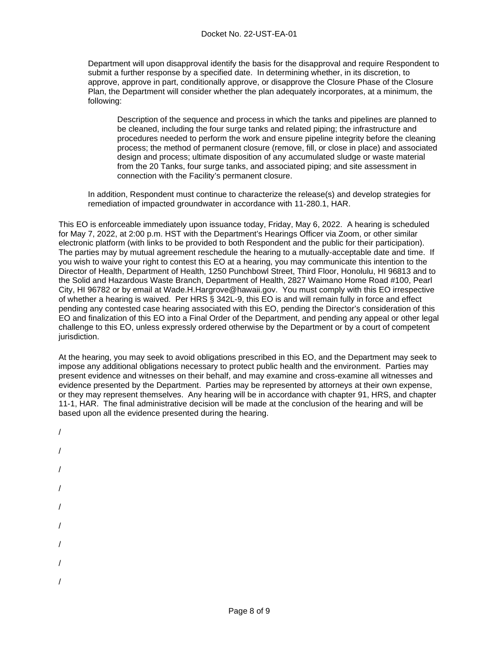Department will upon disapproval identify the basis for the disapproval and require Respondent to submit a further response by a specified date. In determining whether, in its discretion, to approve, approve in part, conditionally approve, or disapprove the Closure Phase of the Closure Plan, the Department will consider whether the plan adequately incorporates, at a minimum, the following:

Description of the sequence and process in which the tanks and pipelines are planned to be cleaned, including the four surge tanks and related piping; the infrastructure and procedures needed to perform the work and ensure pipeline integrity before the cleaning process; the method of permanent closure (remove, fill, or close in place) and associated design and process; ultimate disposition of any accumulated sludge or waste material from the 20 Tanks, four surge tanks, and associated piping; and site assessment in connection with the Facility's permanent closure.

In addition, Respondent must continue to characterize the release(s) and develop strategies for remediation of impacted groundwater in accordance with 11-280.1, HAR.

This EO is enforceable immediately upon issuance today, Friday, May 6, 2022. A hearing is scheduled for May 7, 2022, at 2:00 p.m. HST with the Department's Hearings Officer via Zoom, or other similar electronic platform (with links to be provided to both Respondent and the public for their participation). The parties may by mutual agreement reschedule the hearing to a mutually-acceptable date and time. If you wish to waive your right to contest this EO at a hearing, you may communicate this intention to the Director of Health, Department of Health, 1250 Punchbowl Street, Third Floor, Honolulu, HI 96813 and to the Solid and Hazardous Waste Branch, Department of Health, 2827 Waimano Home Road #100, Pearl City, HI 96782 or by email at Wade.H.Hargrove@hawaii.gov. You must comply with this EO irrespective of whether a hearing is waived. Per HRS § 342L-9, this EO is and will remain fully in force and effect pending any contested case hearing associated with this EO, pending the Director's consideration of this EO and finalization of this EO into a Final Order of the Department, and pending any appeal or other legal challenge to this EO, unless expressly ordered otherwise by the Department or by a court of competent jurisdiction.

At the hearing, you may seek to avoid obligations prescribed in this EO, and the Department may seek to impose any additional obligations necessary to protect public health and the environment. Parties may present evidence and witnesses on their behalf, and may examine and cross-examine all witnesses and evidence presented by the Department. Parties may be represented by attorneys at their own expense, or they may represent themselves. Any hearing will be in accordance with chapter 91, HRS, and chapter 11-1, HAR. The final administrative decision will be made at the conclusion of the hearing and will be based upon all the evidence presented during the hearing.

/ / / / / / / / /